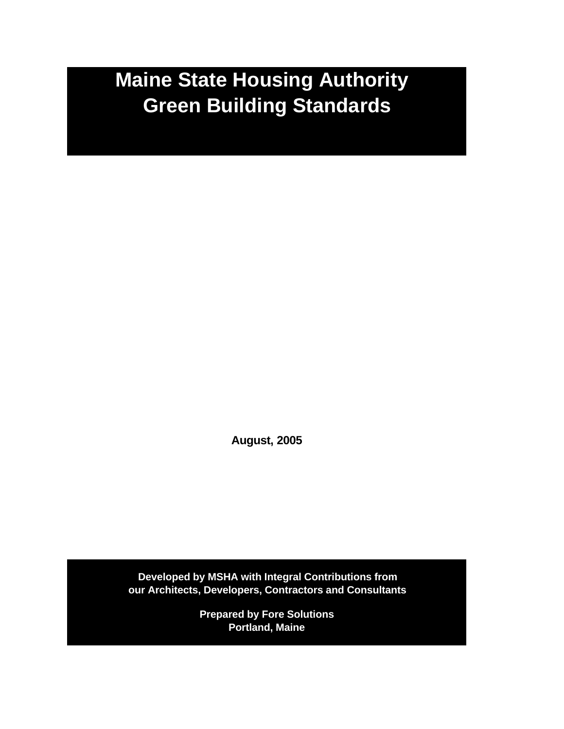# **Maine State Housing Authority Green Building Standards**

**August, 2005**

**Developed by MSHA with Integral Contributions from our Architects, Developers, Contractors and Consultants**

> **Prepared by Fore Solutions Portland, Maine**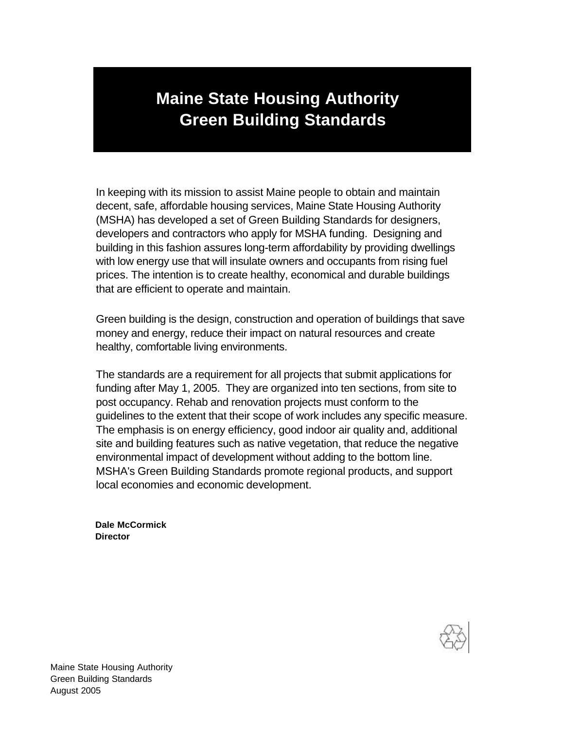# **Maine State Housing Authority Green Building Standards**

In keeping with its mission to assist Maine people to obtain and maintain decent, safe, affordable housing services, Maine State Housing Authority (MSHA) has developed a set of Green Building Standards for designers, developers and contractors who apply for MSHA funding. Designing and building in this fashion assures long-term affordability by providing dwellings with low energy use that will insulate owners and occupants from rising fuel prices. The intention is to create healthy, economical and durable buildings that are efficient to operate and maintain.

Green building is the design, construction and operation of buildings that save money and energy, reduce their impact on natural resources and create healthy, comfortable living environments.

The standards are a requirement for all projects that submit applications for funding after May 1, 2005. They are organized into ten sections, from site to post occupancy. Rehab and renovation projects must conform to the guidelines to the extent that their scope of work includes any specific measure. The emphasis is on energy efficiency, good indoor air quality and, additional site and building features such as native vegetation, that reduce the negative environmental impact of development without adding to the bottom line. MSHA's Green Building Standards promote regional products, and support local economies and economic development.

**Dale McCormick Director**

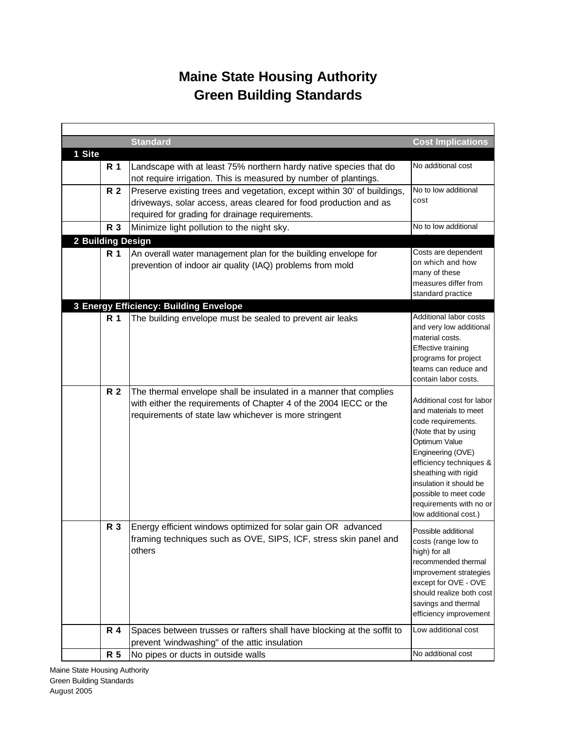## **Green Building Standards Maine State Housing Authority**

|                   |           | <b>Standard</b>                                                         | <b>Cost Implications</b>                         |
|-------------------|-----------|-------------------------------------------------------------------------|--------------------------------------------------|
| 1 Site            |           |                                                                         |                                                  |
|                   | R 1       | Landscape with at least 75% northern hardy native species that do       | No additional cost                               |
|                   |           | not require irrigation. This is measured by number of plantings.        |                                                  |
|                   | R 2       | Preserve existing trees and vegetation, except within 30' of buildings, | No to low additional                             |
|                   |           | driveways, solar access, areas cleared for food production and as       | cost                                             |
|                   |           | required for grading for drainage requirements.                         |                                                  |
|                   | R 3       | Minimize light pollution to the night sky.                              | No to low additional                             |
| 2 Building Design |           |                                                                         |                                                  |
|                   | R 1       | An overall water management plan for the building envelope for          | Costs are dependent                              |
|                   |           | prevention of indoor air quality (IAQ) problems from mold               | on which and how                                 |
|                   |           |                                                                         | many of these                                    |
|                   |           |                                                                         | measures differ from<br>standard practice        |
|                   |           | 3 Energy Efficiency: Building Envelope                                  |                                                  |
|                   | R 1       | The building envelope must be sealed to prevent air leaks               | Additional labor costs                           |
|                   |           |                                                                         | and very low additional                          |
|                   |           |                                                                         | material costs.                                  |
|                   |           |                                                                         | <b>Effective training</b>                        |
|                   |           |                                                                         | programs for project                             |
|                   |           |                                                                         | teams can reduce and                             |
|                   |           |                                                                         | contain labor costs.                             |
|                   | <b>R2</b> | The thermal envelope shall be insulated in a manner that complies       | Additional cost for labor                        |
|                   |           | with either the requirements of Chapter 4 of the 2004 IECC or the       | and materials to meet                            |
|                   |           | requirements of state law whichever is more stringent                   | code requirements.                               |
|                   |           |                                                                         | (Note that by using                              |
|                   |           |                                                                         | Optimum Value                                    |
|                   |           |                                                                         | Engineering (OVE)                                |
|                   |           |                                                                         | efficiency techniques &<br>sheathing with rigid  |
|                   |           |                                                                         | insulation it should be                          |
|                   |           |                                                                         | possible to meet code                            |
|                   |           |                                                                         | requirements with no or                          |
|                   |           |                                                                         | low additional cost.)                            |
|                   | R 3       | Energy efficient windows optimized for solar gain OR advanced           | Possible additional                              |
|                   |           | framing techniques such as OVE, SIPS, ICF, stress skin panel and        | costs (range low to                              |
|                   |           | others                                                                  | high) for all                                    |
|                   |           |                                                                         | recommended thermal                              |
|                   |           |                                                                         | improvement strategies                           |
|                   |           |                                                                         | except for OVE - OVE<br>should realize both cost |
|                   |           |                                                                         | savings and thermal                              |
|                   |           |                                                                         | efficiency improvement                           |
|                   | R 4       | Spaces between trusses or rafters shall have blocking at the soffit to  | Low additional cost                              |
|                   |           | prevent 'windwashing" of the attic insulation                           |                                                  |
|                   | R 5       | No pipes or ducts in outside walls                                      | No additional cost                               |
|                   |           |                                                                         |                                                  |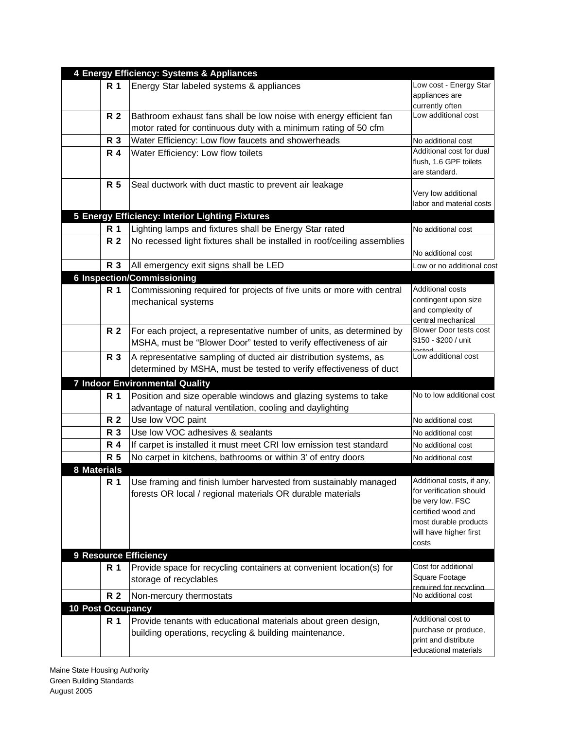|                          |     | 4 Energy Efficiency: Systems & Appliances                                |                                                    |
|--------------------------|-----|--------------------------------------------------------------------------|----------------------------------------------------|
|                          | R 1 | Energy Star labeled systems & appliances                                 | Low cost - Energy Star                             |
|                          |     |                                                                          | appliances are                                     |
|                          |     |                                                                          | currently often<br>Low additional cost             |
|                          | R 2 | Bathroom exhaust fans shall be low noise with energy efficient fan       |                                                    |
|                          |     | motor rated for continuous duty with a minimum rating of 50 cfm          |                                                    |
|                          | R 3 | Water Efficiency: Low flow faucets and showerheads                       | No additional cost                                 |
|                          | R 4 | Water Efficiency: Low flow toilets                                       | Additional cost for dual<br>flush, 1.6 GPF toilets |
|                          |     |                                                                          | are standard.                                      |
|                          | R 5 | Seal ductwork with duct mastic to prevent air leakage                    |                                                    |
|                          |     |                                                                          | Very low additional                                |
|                          |     |                                                                          | labor and material costs                           |
|                          |     | 5 Energy Efficiency: Interior Lighting Fixtures                          |                                                    |
|                          | R 1 | Lighting lamps and fixtures shall be Energy Star rated                   | No additional cost                                 |
|                          | R 2 | No recessed light fixtures shall be installed in roof/ceiling assemblies |                                                    |
|                          |     |                                                                          | No additional cost                                 |
|                          | R 3 | All emergency exit signs shall be LED                                    | Low or no additional cost                          |
|                          |     | <b>6 Inspection/Commissioning</b>                                        |                                                    |
|                          | R 1 | Commissioning required for projects of five units or more with central   | Additional costs                                   |
|                          |     | mechanical systems                                                       | contingent upon size                               |
|                          |     |                                                                          | and complexity of                                  |
|                          |     |                                                                          | central mechanical                                 |
|                          | R 2 | For each project, a representative number of units, as determined by     | <b>Blower Door tests cost</b>                      |
|                          |     | MSHA, must be "Blower Door" tested to verify effectiveness of air        | \$150 - \$200 / unit                               |
|                          | R 3 | A representative sampling of ducted air distribution systems, as         | Low additional cost                                |
|                          |     | determined by MSHA, must be tested to verify effectiveness of duct       |                                                    |
|                          |     | <b>7 Indoor Environmental Quality</b>                                    |                                                    |
|                          | R 1 | Position and size operable windows and glazing systems to take           | No to low additional cost                          |
|                          |     | advantage of natural ventilation, cooling and daylighting                |                                                    |
|                          | R 2 | Use low VOC paint                                                        | No additional cost                                 |
|                          | R 3 | Use low VOC adhesives & sealants                                         | No additional cost                                 |
|                          | R 4 | If carpet is installed it must meet CRI low emission test standard       | No additional cost                                 |
|                          | R 5 | No carpet in kitchens, bathrooms or within 3' of entry doors             | No additional cost                                 |
| 8 Materials              |     |                                                                          |                                                    |
|                          | R 1 | Use framing and finish lumber harvested from sustainably managed         | Additional costs, if any,                          |
|                          |     | forests OR local / regional materials OR durable materials               | for verification should                            |
|                          |     |                                                                          | be very low. FSC                                   |
|                          |     |                                                                          | certified wood and                                 |
|                          |     |                                                                          | most durable products<br>will have higher first    |
|                          |     |                                                                          | costs                                              |
|                          |     | <b>9 Resource Efficiency</b>                                             |                                                    |
|                          | R 1 | Provide space for recycling containers at convenient location(s) for     | Cost for additional                                |
|                          |     | storage of recyclables                                                   | Square Footage                                     |
|                          |     |                                                                          | required for recycling                             |
|                          | R 2 | Non-mercury thermostats                                                  | No additional cost                                 |
| <b>10 Post Occupancy</b> |     |                                                                          |                                                    |
|                          | R 1 | Provide tenants with educational materials about green design,           | Additional cost to                                 |
|                          |     | building operations, recycling & building maintenance.                   | purchase or produce,<br>print and distribute       |
|                          |     |                                                                          | educational materials                              |
|                          |     |                                                                          |                                                    |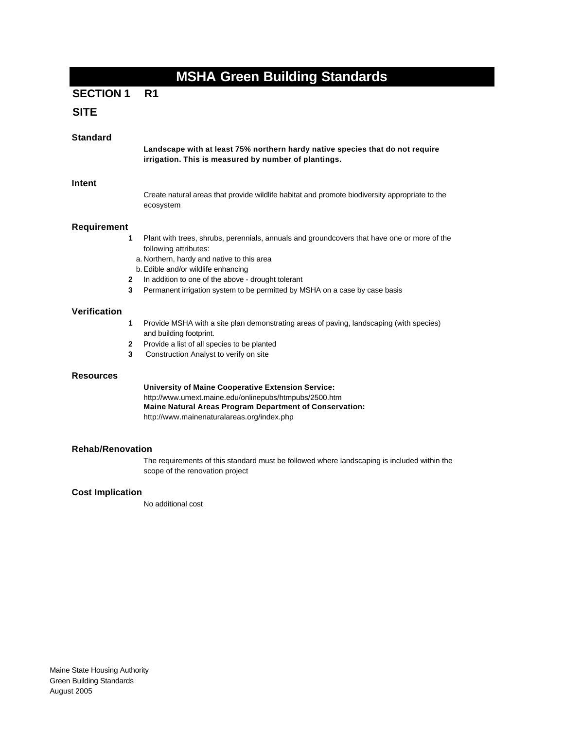## **SECTION 1 R1**

## **SITE**

| <b>Standard</b>         |                        | Landscape with at least 75% northern hardy native species that do not require                                                                                                                                                                                                                                                                  |
|-------------------------|------------------------|------------------------------------------------------------------------------------------------------------------------------------------------------------------------------------------------------------------------------------------------------------------------------------------------------------------------------------------------|
|                         |                        | irrigation. This is measured by number of plantings.                                                                                                                                                                                                                                                                                           |
| <b>Intent</b>           |                        | Create natural areas that provide wildlife habitat and promote biodiversity appropriate to the<br>ecosystem                                                                                                                                                                                                                                    |
| <b>Requirement</b>      |                        |                                                                                                                                                                                                                                                                                                                                                |
|                         | 1<br>$\mathbf{2}$<br>3 | Plant with trees, shrubs, perennials, annuals and groundcovers that have one or more of the<br>following attributes:<br>a. Northern, hardy and native to this area<br>b. Edible and/or wildlife enhancing<br>In addition to one of the above - drought tolerant<br>Permanent irrigation system to be permitted by MSHA on a case by case basis |
|                         |                        |                                                                                                                                                                                                                                                                                                                                                |
| Verification            |                        |                                                                                                                                                                                                                                                                                                                                                |
|                         | 1                      | Provide MSHA with a site plan demonstrating areas of paving, landscaping (with species)<br>and building footprint.                                                                                                                                                                                                                             |
|                         | $\mathbf{2}$<br>3      | Provide a list of all species to be planted<br>Construction Analyst to verify on site                                                                                                                                                                                                                                                          |
| <b>Resources</b>        |                        |                                                                                                                                                                                                                                                                                                                                                |
|                         |                        | <b>University of Maine Cooperative Extension Service:</b><br>http://www.umext.maine.edu/onlinepubs/htmpubs/2500.htm<br><b>Maine Natural Areas Program Department of Conservation:</b><br>http://www.mainenaturalareas.org/index.php                                                                                                            |
| <b>Rehab/Renovation</b> |                        |                                                                                                                                                                                                                                                                                                                                                |
|                         |                        | The requirements of this standard must be followed where landscaping is included within the<br>scope of the renovation project                                                                                                                                                                                                                 |
| <b>Cost Implication</b> |                        |                                                                                                                                                                                                                                                                                                                                                |
|                         |                        | No additional cost                                                                                                                                                                                                                                                                                                                             |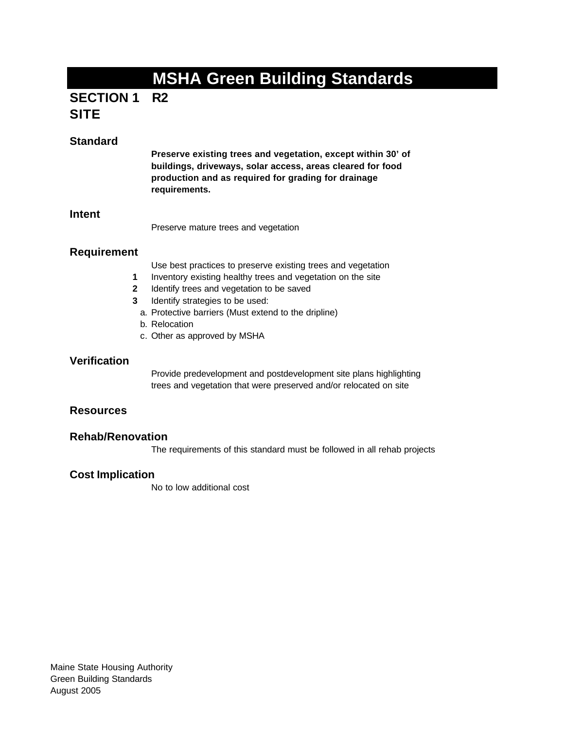## **R2 SECTION 1 SITE**

## **Standard**

**Preserve existing trees and vegetation, except within 30' of buildings, driveways, solar access, areas cleared for food production and as required for grading for drainage requirements.**

#### **Intent**

Preserve mature trees and vegetation

### **Requirement**

Use best practices to preserve existing trees and vegetation

- **1** Inventory existing healthy trees and vegetation on the site
- **2** Identify trees and vegetation to be saved
- **3** Identify strategies to be used:
	- a. Protective barriers (Must extend to the dripline)
	- b. Relocation
	- c. Other as approved by MSHA

#### **Verification**

Provide predevelopment and postdevelopment site plans highlighting trees and vegetation that were preserved and/or relocated on site

#### **Resources**

#### **Rehab/Renovation**

The requirements of this standard must be followed in all rehab projects

#### **Cost Implication**

No to low additional cost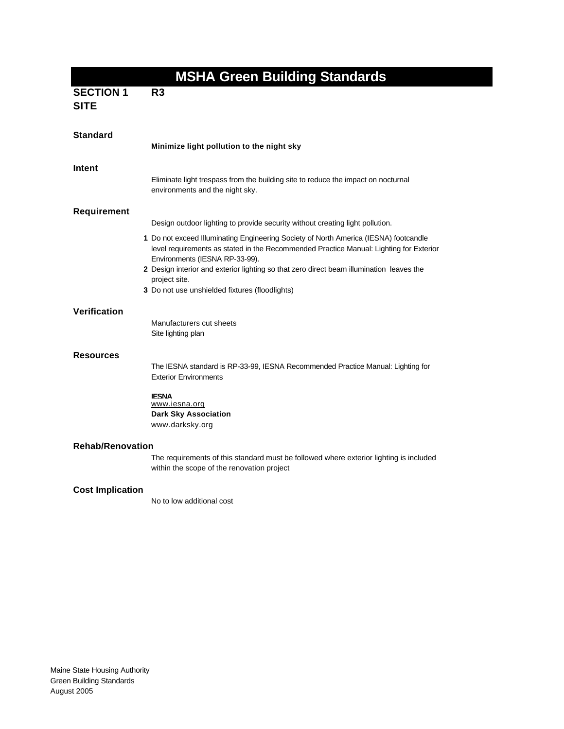|                                 | <b>MSHA Green Building Standards</b>                                                                                                                                                                                                                                                                                                                                            |
|---------------------------------|---------------------------------------------------------------------------------------------------------------------------------------------------------------------------------------------------------------------------------------------------------------------------------------------------------------------------------------------------------------------------------|
| <b>SECTION 1</b><br><b>SITE</b> | R <sub>3</sub>                                                                                                                                                                                                                                                                                                                                                                  |
| <b>Standard</b>                 | Minimize light pollution to the night sky                                                                                                                                                                                                                                                                                                                                       |
| Intent                          | Eliminate light trespass from the building site to reduce the impact on nocturnal<br>environments and the night sky.                                                                                                                                                                                                                                                            |
| Requirement                     |                                                                                                                                                                                                                                                                                                                                                                                 |
|                                 | Design outdoor lighting to provide security without creating light pollution.                                                                                                                                                                                                                                                                                                   |
|                                 | 1 Do not exceed Illuminating Engineering Society of North America (IESNA) footcandle<br>level requirements as stated in the Recommended Practice Manual: Lighting for Exterior<br>Environments (IESNA RP-33-99).<br>2 Design interior and exterior lighting so that zero direct beam illumination leaves the<br>project site.<br>3 Do not use unshielded fixtures (floodlights) |
| Verification                    |                                                                                                                                                                                                                                                                                                                                                                                 |
|                                 | Manufacturers cut sheets<br>Site lighting plan                                                                                                                                                                                                                                                                                                                                  |
| <b>Resources</b>                |                                                                                                                                                                                                                                                                                                                                                                                 |
|                                 | The IESNA standard is RP-33-99, IESNA Recommended Practice Manual: Lighting for<br><b>Exterior Environments</b>                                                                                                                                                                                                                                                                 |
|                                 | <b>IFSNA</b><br>www.iesna.org<br><b>Dark Sky Association</b><br>www.darksky.org                                                                                                                                                                                                                                                                                                 |
| <b>Rehab/Renovation</b>         |                                                                                                                                                                                                                                                                                                                                                                                 |
|                                 | The requirements of this standard must be followed where exterior lighting is included<br>within the scope of the renovation project                                                                                                                                                                                                                                            |
| <b>Cost Implication</b>         | No to low additional cost                                                                                                                                                                                                                                                                                                                                                       |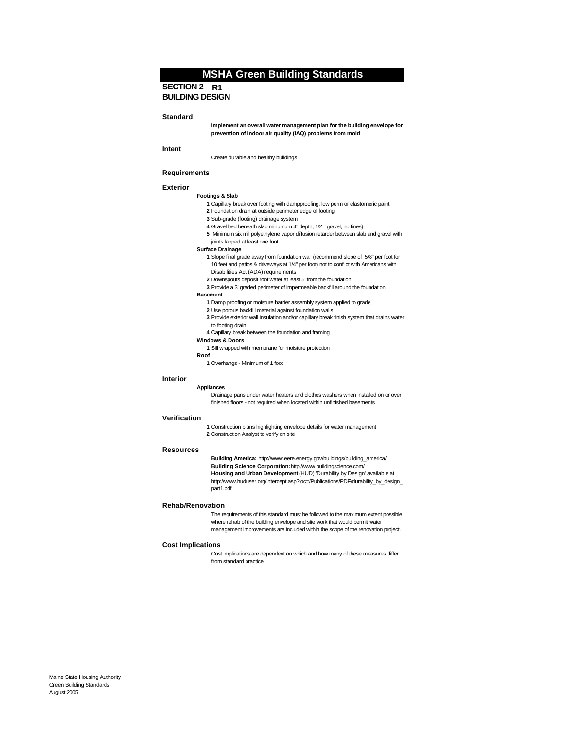#### **SECTION 2 R1 BUILDING DESIGN**

#### **Standard**

**Implement an overall water management plan for the building envelope for prevention of indoor air quality (IAQ) problems from mold**

#### **Intent**

Create durable and healthy buildings

#### **Requirements**

#### **Exterior**

#### **Footings & Slab**

- **1** Capillary break over footing with dampproofing, low perm or elastomeric paint
- **2** Foundation drain at outside perimeter edge of footing
- **3** Sub-grade (footing) drainage system
- **4** Gravel bed beneath slab minumum 4" depth, 1/2 " gravel, no fines)
- **5** Minimum six mil polyethylene vapor diffusion retarder between slab and gravel with joints lapped at least one foot.
- **Surface Drainage**
	- **1** Slope final grade away from foundation wall (recommend slope of 5/8" per foot for 10 feet and patios & driveways at 1/4" per foot) not to conflict with Americans with Disabilities Act (ADA) requirements
	- **2** Downspouts deposit roof water at least 5' from the foundation
- **3** Provide a 3' graded perimeter of impermeable backfill around the foundation
- **Basement** 
	- **1** Damp proofing or moisture barrier assembly system applied to grade
	- **2** Use porous backfill material against foundation walls
	- **3** Provide exterior wall insulation and/or capillary break finish system that drains water to footing drain
	- **4** Capillary break between the foundation and framing
- **Windows & Doors**
- **1** Sill wrapped with membrane for moisture protection
- **Roof**
- **1** Overhangs Minimum of 1 foot

#### **Interior**

#### **Appliances**

Drainage pans under water heaters and clothes washers when installed on or over finished floors - not required when located within unfinished basements

#### **Verification**

**1** Construction plans highlighting envelope details for water management **2** Construction Analyst to verify on site

#### **Resources**

**Building America:** http://www.eere.energy.gov/buildings/building\_america/ **Building Science Corporation:** http://www.buildingscience.com/ **Housing and Urban Development** (HUD) 'Durability by Design' available at http://www.huduser.org/intercept.asp?loc=/Publications/PDF/durability\_by\_design\_ part1.pdf

#### **Rehab/Renovation**

The requirements of this standard must be followed to the maximum extent possible where rehab of the building envelope and site work that would permit water management improvements are included within the scope of the renovation project.

#### **Cost Implications**

Cost implications are dependent on which and how many of these measures differ from standard practice.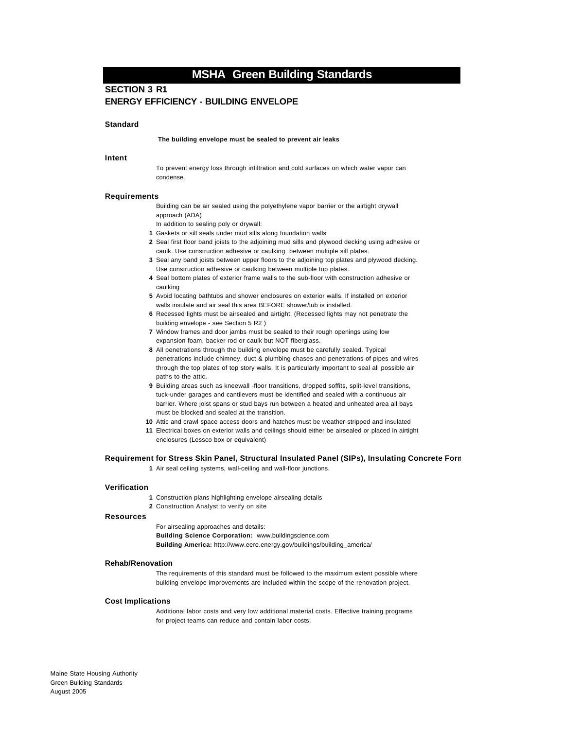#### **SECTION 3 R1 ENERGY EFFICIENCY - BUILDING ENVELOPE**

#### **Standard**

 **The building envelope must be sealed to prevent air leaks** 

#### **Intent**

To prevent energy loss through infiltration and cold surfaces on which water vapor can condense.

#### **Requirements**

Building can be air sealed using the polyethylene vapor barrier or the airtight drywall approach (ADA)

In addition to sealing poly or drywall:

- **1** Gaskets or sill seals under mud sills along foundation walls
- **2** Seal first floor band joists to the adjoining mud sills and plywood decking using adhesive or caulk. Use construction adhesive or caulking between multiple sill plates.
- **3** Seal any band joists between upper floors to the adjoining top plates and plywood decking. Use construction adhesive or caulking between multiple top plates.
- **4** Seal bottom plates of exterior frame walls to the sub-floor with construction adhesive or caulking
- **5** Avoid locating bathtubs and shower enclosures on exterior walls. If installed on exterior walls insulate and air seal this area BEFORE shower/tub is installed.
- **6** Recessed lights must be airsealed and airtight. (Recessed lights may not penetrate the building envelope - see Section 5 R2 )
- **7** Window frames and door jambs must be sealed to their rough openings using low expansion foam, backer rod or caulk but NOT fiberglass.
- **8** All penetrations through the building envelope must be carefully sealed. Typical penetrations include chimney, duct & plumbing chases and penetrations of pipes and wires through the top plates of top story walls. It is particularly important to seal all possible air paths to the attic.
- **9** Building areas such as kneewall -floor transitions, dropped soffits, split-level transitions, tuck-under garages and cantilevers must be identified and sealed with a continuous air barrier. Where joist spans or stud bays run between a heated and unheated area all bays must be blocked and sealed at the transition.
- **10** Attic and crawl space access doors and hatches must be weather-stripped and insulated
- **11** Electrical boxes on exterior walls and ceilings should either be airsealed or placed in airtight enclosures (Lessco box or equivalent)

#### **Requirement for Stress Skin Panel, Structural Insulated Panel (SIPs), Insulating Concrete Forn**

**1** Air seal ceiling systems, wall-ceiling and wall-floor junctions.

#### **Verification**

**1** Construction plans highlighting envelope airsealing details **2** Construction Analyst to verify on site

#### **Resources**

For airsealing approaches and details: **Building Science Corporation:** www.buildingscience.com **Building America:** http://www.eere.energy.gov/buildings/building\_america/

#### **Rehab/Renovation**

The requirements of this standard must be followed to the maximum extent possible where building envelope improvements are included within the scope of the renovation project.

#### **Cost Implications**

Additional labor costs and very low additional material costs. Effective training programs for project teams can reduce and contain labor costs.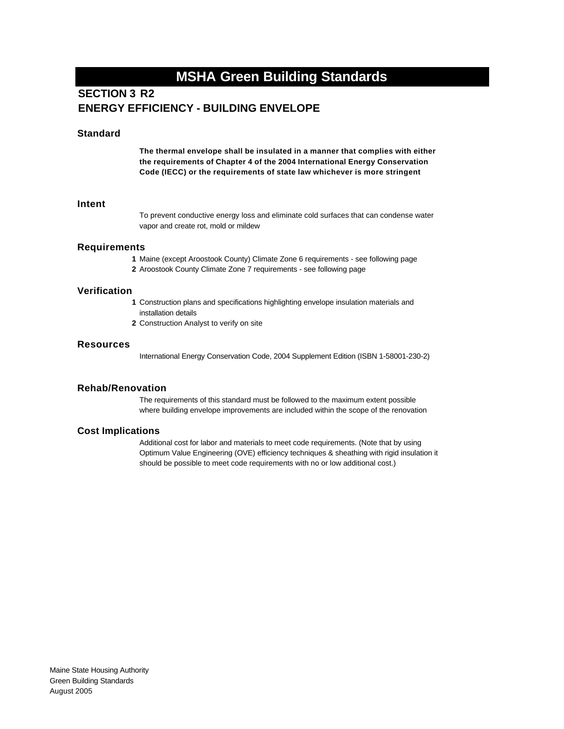## **SECTION 3 R2 ENERGY EFFICIENCY - BUILDING ENVELOPE**

#### **Standard**

**The thermal envelope shall be insulated in a manner that complies with either the requirements of Chapter 4 of the 2004 International Energy Conservation Code (IECC) or the requirements of state law whichever is more stringent**

#### **Intent**

To prevent conductive energy loss and eliminate cold surfaces that can condense water vapor and create rot, mold or mildew

#### **Requirements**

- **1** Maine (except Aroostook County) Climate Zone 6 requirements see following page
- **2** Aroostook County Climate Zone 7 requirements see following page

#### **Verification**

- **1** Construction plans and specifications highlighting envelope insulation materials and installation details
- **2** Construction Analyst to verify on site

#### **Resources**

International Energy Conservation Code, 2004 Supplement Edition (ISBN 1-58001-230-2)

#### **Rehab/Renovation**

The requirements of this standard must be followed to the maximum extent possible where building envelope improvements are included within the scope of the renovation

#### **Cost Implications**

Additional cost for labor and materials to meet code requirements. (Note that by using Optimum Value Engineering (OVE) efficiency techniques & sheathing with rigid insulation it should be possible to meet code requirements with no or low additional cost.)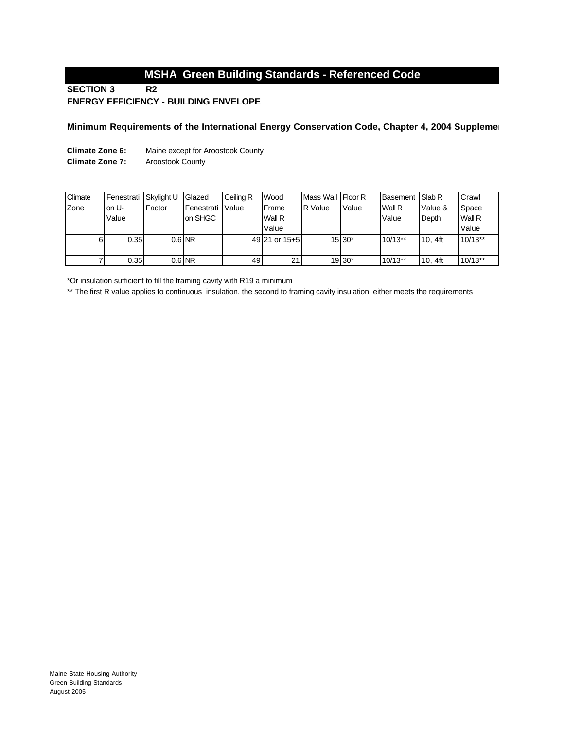## **MSHA Green Building Standards - Referenced Code**

#### **R2 ENERGY EFFICIENCY - BUILDING ENVELOPE SECTION 3**

#### **Minimum Requirements of the International Energy Conservation Code, Chapter 4, 2004 Suppleme**

**Climate Zone 6:** Maine except for Aroostook County

**Climate Zone 7:** Aroostook County

| Climate | Fenestrati | Skylight U | Glazed             | Ceiling R | Wood          | Mass Wall Floor R |          | Basement Slab R |           | Crawl     |
|---------|------------|------------|--------------------|-----------|---------------|-------------------|----------|-----------------|-----------|-----------|
| Zone    | on U-      | Factor     | <b>IFenestrati</b> | Value     | Frame         | R Value           | Value    | Wall R          | Value &   | Space     |
|         | Value      |            | on SHGC            |           | Wall R        |                   |          | Value           | Depth     | Wall R    |
|         |            |            |                    |           | Value         |                   |          |                 |           | Value     |
| 6       | 0.35       |            | $0.6$ NR           |           | 49 21 or 15+5 |                   | $15 30*$ | $10/13**$       | $10.4$ ft | $10/13**$ |
|         |            |            |                    |           |               |                   |          |                 |           |           |
|         | 0.35       |            | $0.6$ NR           | 49 I      | 21            |                   | 19 30*   | $10/13**$       | $10.4$ ft | $10/13**$ |

\*Or insulation sufficient to fill the framing cavity with R19 a minimum

\*\* The first R value applies to continuous insulation, the second to framing cavity insulation; either meets the requirements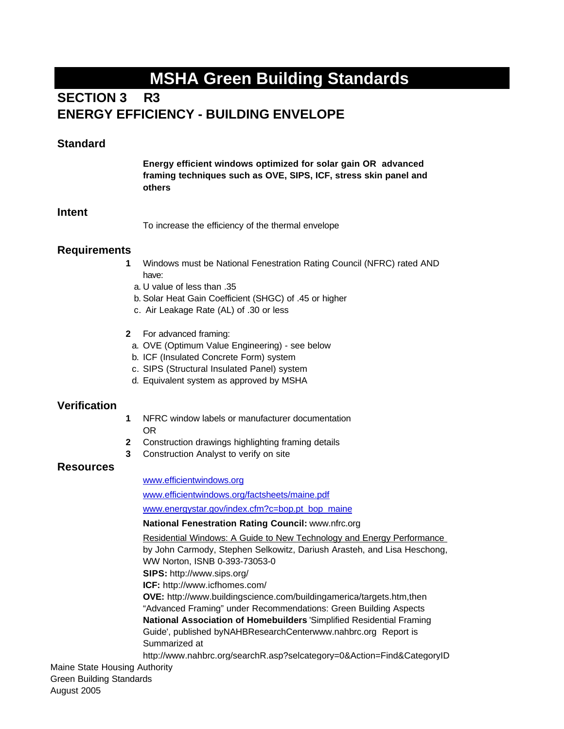## **SECTION 3 R3 ENERGY EFFICIENCY - BUILDING ENVELOPE**

#### **Standard**

**Energy efficient windows optimized for solar gain OR advanced framing techniques such as OVE, SIPS, ICF, stress skin panel and others**

#### **Intent**

To increase the efficiency of the thermal envelope

### **Requirements**

- **1** Windows must be National Fenestration Rating Council (NFRC) rated AND have:
	- a. U value of less than .35
	- b. Solar Heat Gain Coefficient (SHGC) of .45 or higher
	- c. Air Leakage Rate (AL) of .30 or less
- **2** For advanced framing:
	- a. OVE (Optimum Value Engineering) see below
	- b. ICF (Insulated Concrete Form) system
	- c. SIPS (Structural Insulated Panel) system
	- d. Equivalent system as approved by MSHA

#### **Verification**

- **1** NFRC window labels or manufacturer documentation OR
- **2** Construction drawings highlighting framing details
- **3** Construction Analyst to verify on site

#### **Resources**

#### www.efficientwindows.org

www.efficientwindows.org/factsheets/maine.pdf

www.energystar.gov/index.cfm?c=bop.pt\_bop\_maine

#### **National Fenestration Rating Council:** www.nfrc.org

Residential Windows: A Guide to New Technology and Energy Performance by John Carmody, Stephen Selkowitz, Dariush Arasteh, and Lisa Heschong, WW Norton, ISNB 0-393-73053-0 **SIPS:** http://www.sips.org/ **ICF:** http://www.icfhomes.com/ **OVE:** http://www.buildingscience.com/buildingamerica/targets.htm,then "Advanced Framing" under Recommendations: Green Building Aspects **National Association of Homebuilders** 'Simplified Residential Framing Guide', published byNAHBResearchCenterwww.nahbrc.org Report is Summarized at http://www.nahbrc.org/searchR.asp?selcategory=0&Action=Find&CategoryID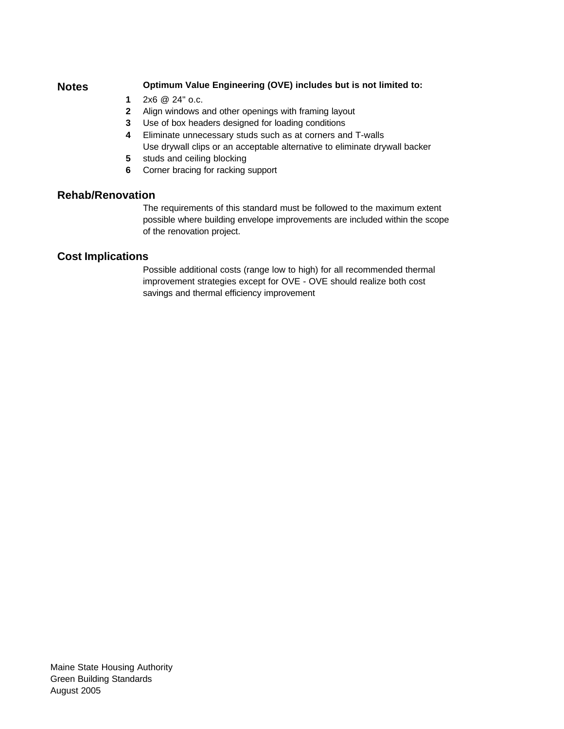#### **Notes Optimum Value Engineering (OVE) includes but is not limited to:**

- **1** 2x6 @ 24" o.c.
- **2** Align windows and other openings with framing layout
- **3** Use of box headers designed for loading conditions
- **4** Eliminate unnecessary studs such as at corners and T-walls Use drywall clips or an acceptable alternative to eliminate drywall backer
- **5** studs and ceiling blocking
- **6** Corner bracing for racking support

### **Rehab/Renovation**

The requirements of this standard must be followed to the maximum extent possible where building envelope improvements are included within the scope of the renovation project.

### **Cost Implications**

Possible additional costs (range low to high) for all recommended thermal improvement strategies except for OVE - OVE should realize both cost savings and thermal efficiency improvement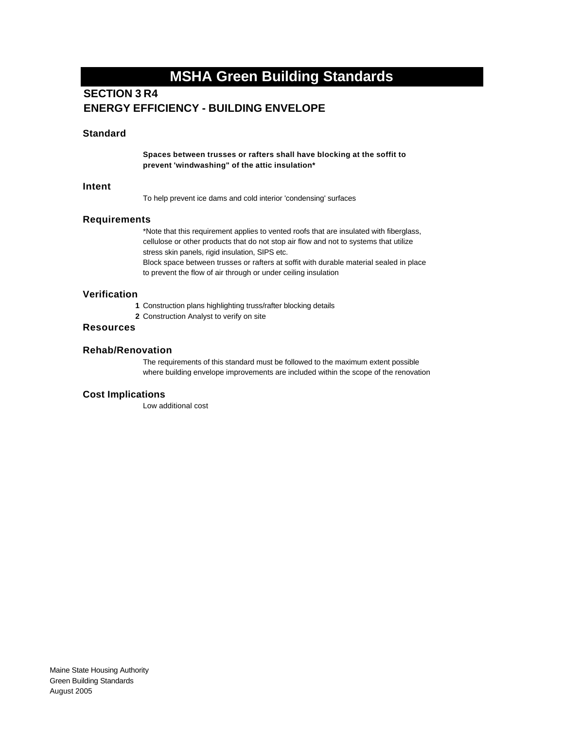## **SECTION 3 R4 ENERGY EFFICIENCY - BUILDING ENVELOPE**

#### **Standard**

**Spaces between trusses or rafters shall have blocking at the soffit to prevent 'windwashing" of the attic insulation\***

#### **Intent**

To help prevent ice dams and cold interior 'condensing' surfaces

#### **Requirements**

\*Note that this requirement applies to vented roofs that are insulated with fiberglass, cellulose or other products that do not stop air flow and not to systems that utilize stress skin panels, rigid insulation, SIPS etc. Block space between trusses or rafters at soffit with durable material sealed in place

to prevent the flow of air through or under ceiling insulation

#### **Verification**

- **1** Construction plans highlighting truss/rafter blocking details
- **2** Construction Analyst to verify on site

#### **Resources**

#### **Rehab/Renovation**

The requirements of this standard must be followed to the maximum extent possible where building envelope improvements are included within the scope of the renovation

#### **Cost Implications**

Low additional cost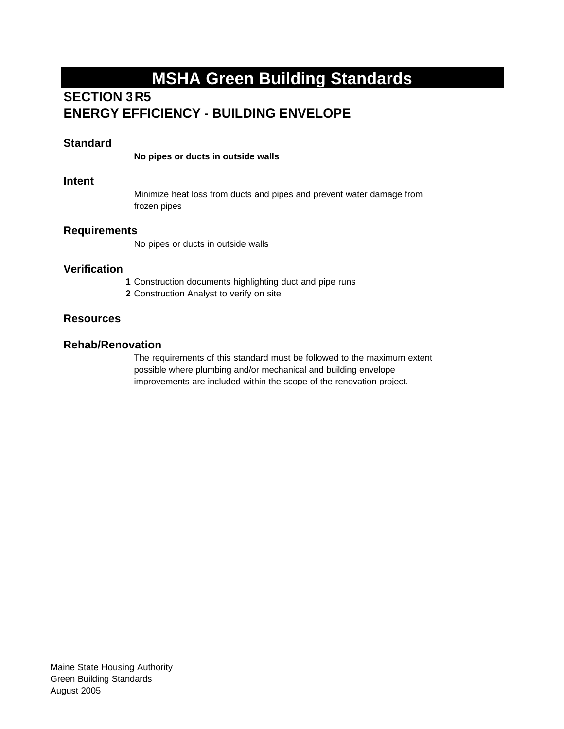## **SECTION 3R5 ENERGY EFFICIENCY - BUILDING ENVELOPE**

### **Standard**

**No pipes or ducts in outside walls** 

#### **Intent**

Minimize heat loss from ducts and pipes and prevent water damage from frozen pipes

#### **Requirements**

No pipes or ducts in outside walls

### **Verification**

- **1** Construction documents highlighting duct and pipe runs
- **2** Construction Analyst to verify on site

### **Resources**

### **Rehab/Renovation**

The requirements of this standard must be followed to the maximum extent possible where plumbing and/or mechanical and building envelope improvements are included within the scope of the renovation project.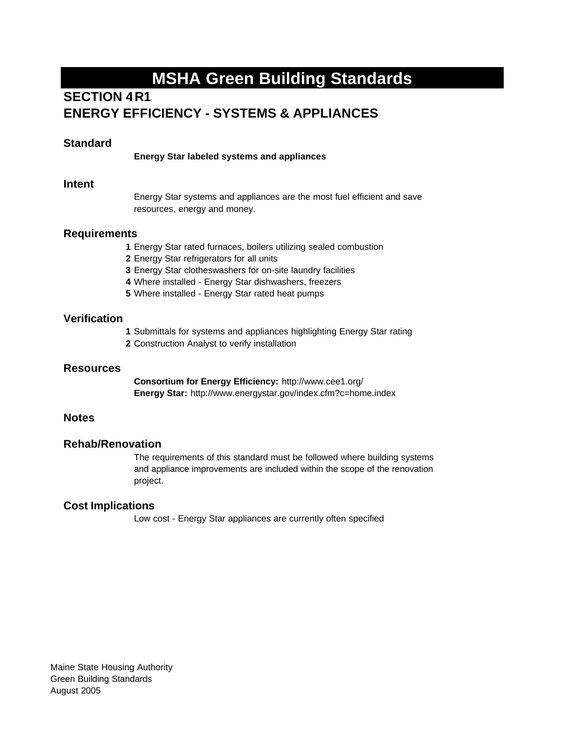## **SECTION 4R1 ENERGY EFFICIENCY - SYSTEMS & APPLIANCES**

### **Standard**

**Energy Star labeled systems and appliances** 

#### **Intent**

Energy Star systems and appliances are the most fuel efficient and save resources, energy and money.

#### **Requirements**

- **1** Energy Star rated furnaces, boilers utilizing sealed combustion
- **2** Energy Star refrigerators for all units
- **3** Energy Star clotheswashers for on-site laundry facilities
- **4** Where installed Energy Star dishwashers, freezers
- **5** Where installed Energy Star rated heat pumps

### **Verification**

- **1** Submittals for systems and appliances highlighting Energy Star rating
- **2** Construction Analyst to verify installation

#### **Resources**

**Consortium for Energy Efficiency:** http://www.cee1.org/ **Energy Star:** http://www.energystar.gov/index.cfm?c=home.index

#### **Notes**

#### **Rehab/Renovation**

The requirements of this standard must be followed where building systems and appliance improvements are included within the scope of the renovation project.

### **Cost Implications**

Low cost - Energy Star appliances are currently often specified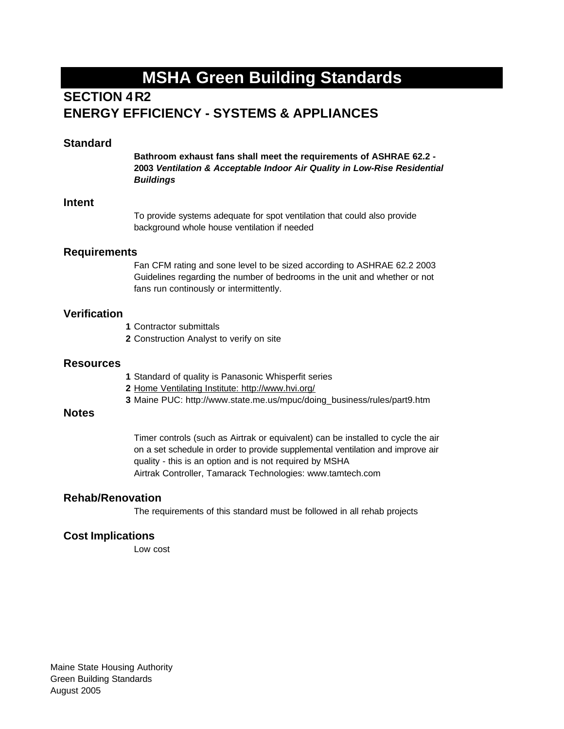## **SECTION 4R2 ENERGY EFFICIENCY - SYSTEMS & APPLIANCES**

#### **Standard**

**Bathroom exhaust fans shall meet the requirements of ASHRAE 62.2 - 2003** *Ventilation & Acceptable Indoor Air Quality in Low-Rise Residential Buildings*

#### **Intent**

To provide systems adequate for spot ventilation that could also provide background whole house ventilation if needed

#### **Requirements**

Fan CFM rating and sone level to be sized according to ASHRAE 62.2 2003 Guidelines regarding the number of bedrooms in the unit and whether or not fans run continously or intermittently.

#### **Verification**

- **1** Contractor submittals
- **2** Construction Analyst to verify on site

#### **Resources**

- **1** Standard of quality is Panasonic Whisperfit series
- **2** Home Ventilating Institute: http://www.hvi.org/
- **3** Maine PUC: http://www.state.me.us/mpuc/doing\_business/rules/part9.htm

#### **Notes**

Timer controls (such as Airtrak or equivalent) can be installed to cycle the air on a set schedule in order to provide supplemental ventilation and improve air quality - this is an option and is not required by MSHA Airtrak Controller, Tamarack Technologies: www.tamtech.com

#### **Rehab/Renovation**

The requirements of this standard must be followed in all rehab projects

#### **Cost Implications**

Low cost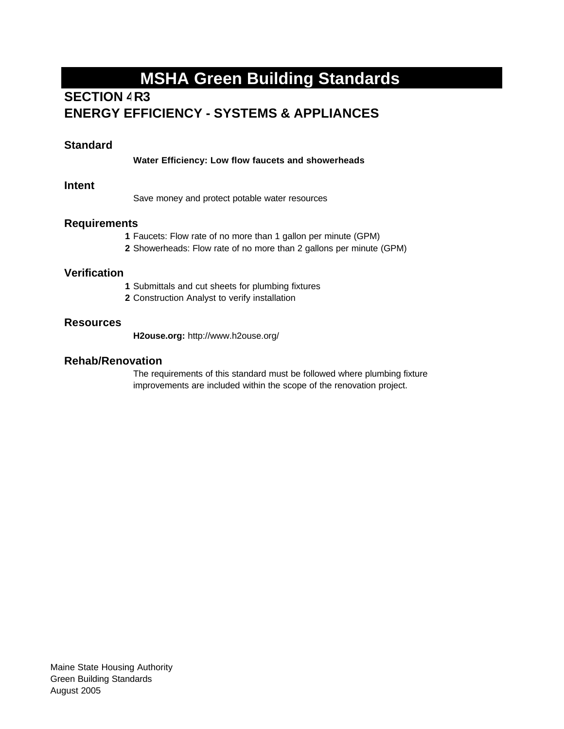## **SECTION 4R3 ENERGY EFFICIENCY - SYSTEMS & APPLIANCES**

### **Standard**

**Water Efficiency: Low flow faucets and showerheads**

#### **Intent**

Save money and protect potable water resources

#### **Requirements**

- **1** Faucets: Flow rate of no more than 1 gallon per minute (GPM)
- **2** Showerheads: Flow rate of no more than 2 gallons per minute (GPM)

#### **Verification**

- **1** Submittals and cut sheets for plumbing fixtures
- **2** Construction Analyst to verify installation

#### **Resources**

**H2ouse.org:** http://www.h2ouse.org/

### **Rehab/Renovation**

The requirements of this standard must be followed where plumbing fixture improvements are included within the scope of the renovation project.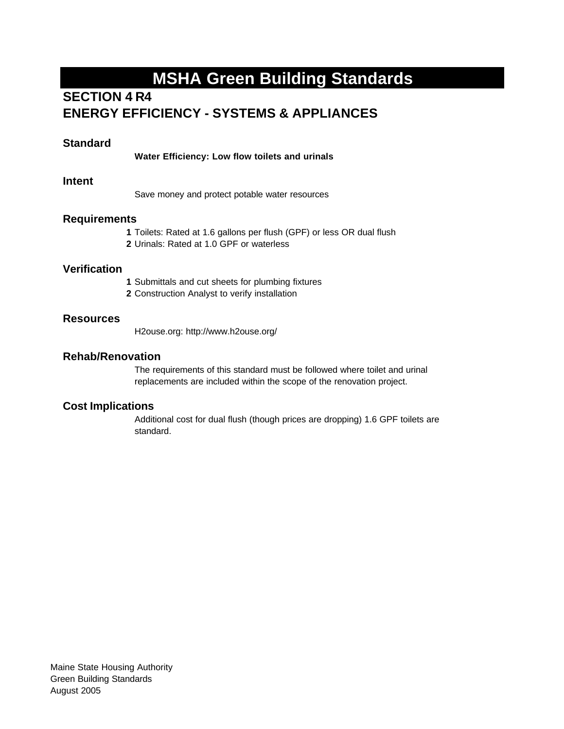## **SECTION 4 R4 ENERGY EFFICIENCY - SYSTEMS & APPLIANCES**

### **Standard**

**Water Efficiency: Low flow toilets and urinals**

#### **Intent**

Save money and protect potable water resources

#### **Requirements**

- **1** Toilets: Rated at 1.6 gallons per flush (GPF) or less OR dual flush
- **2** Urinals: Rated at 1.0 GPF or waterless

### **Verification**

- **1** Submittals and cut sheets for plumbing fixtures
- **2** Construction Analyst to verify installation

#### **Resources**

H2ouse.org: http://www.h2ouse.org/

### **Rehab/Renovation**

The requirements of this standard must be followed where toilet and urinal replacements are included within the scope of the renovation project.

#### **Cost Implications**

Additional cost for dual flush (though prices are dropping) 1.6 GPF toilets are standard.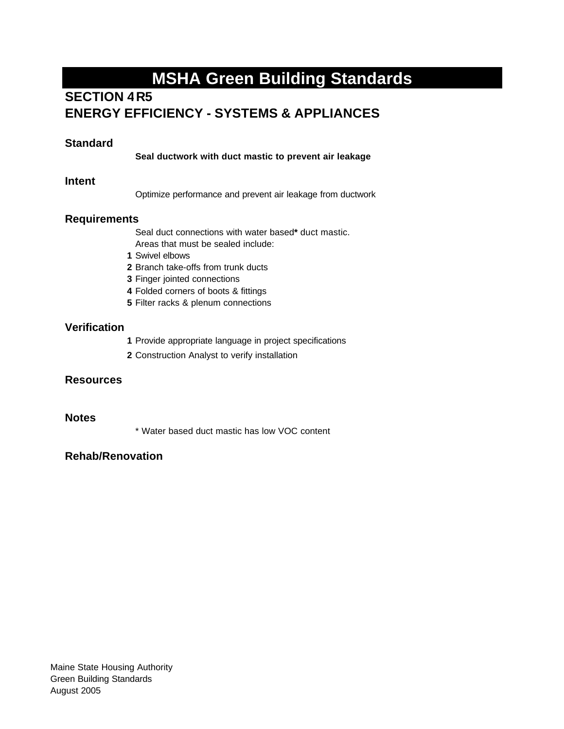## **SECTION 4 R5 ENERGY EFFICIENCY - SYSTEMS & APPLIANCES**

## **Standard**

**Seal ductwork with duct mastic to prevent air leakage**

#### **Intent**

Optimize performance and prevent air leakage from ductwork

### **Requirements**

Seal duct connections with water based**\*** duct mastic.

- Areas that must be sealed include:
- **1** Swivel elbows
- **2** Branch take-offs from trunk ducts
- **3** Finger jointed connections
- **4** Folded corners of boots & fittings
- **5** Filter racks & plenum connections

#### **Verification**

- **1** Provide appropriate language in project specifications
- **2** Construction Analyst to verify installation

#### **Resources**

#### **Notes**

\* Water based duct mastic has low VOC content

## **Rehab/Renovation**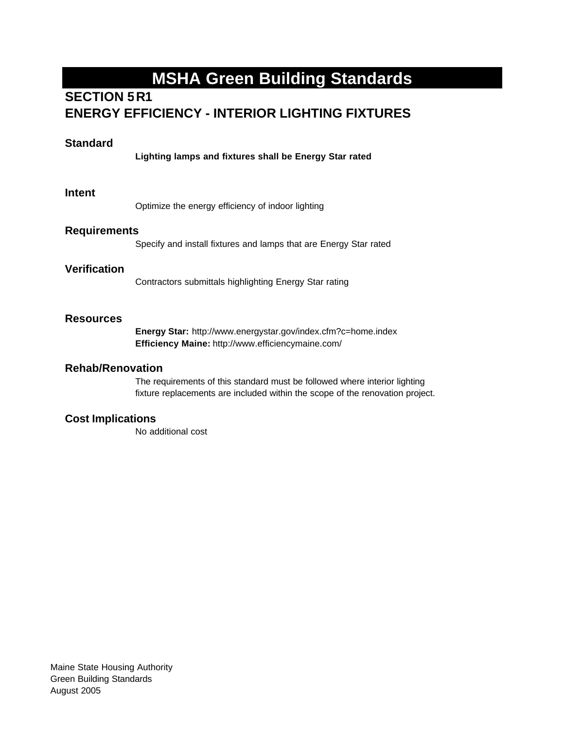## **SECTION 5 R1 ENERGY EFFICIENCY - INTERIOR LIGHTING FIXTURES**

### **Standard**

**Lighting lamps and fixtures shall be Energy Star rated** 

#### **Intent**

Optimize the energy efficiency of indoor lighting

#### **Requirements**

Specify and install fixtures and lamps that are Energy Star rated

#### **Verification**

Contractors submittals highlighting Energy Star rating

#### **Resources**

**Energy Star:** http://www.energystar.gov/index.cfm?c=home.index **Efficiency Maine:** http://www.efficiencymaine.com/

#### **Rehab/Renovation**

The requirements of this standard must be followed where interior lighting fixture replacements are included within the scope of the renovation project.

#### **Cost Implications**

No additional cost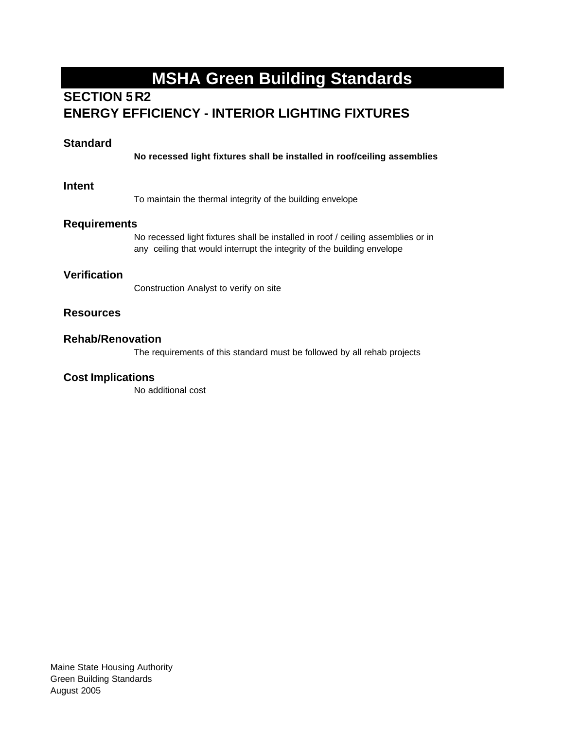## **SECTION 5R2 ENERGY EFFICIENCY - INTERIOR LIGHTING FIXTURES**

### **Standard**

**No recessed light fixtures shall be installed in roof/ceiling assemblies**

#### **Intent**

To maintain the thermal integrity of the building envelope

#### **Requirements**

No recessed light fixtures shall be installed in roof / ceiling assemblies or in any ceiling that would interrupt the integrity of the building envelope

### **Verification**

Construction Analyst to verify on site

### **Resources**

#### **Rehab/Renovation**

The requirements of this standard must be followed by all rehab projects

#### **Cost Implications**

No additional cost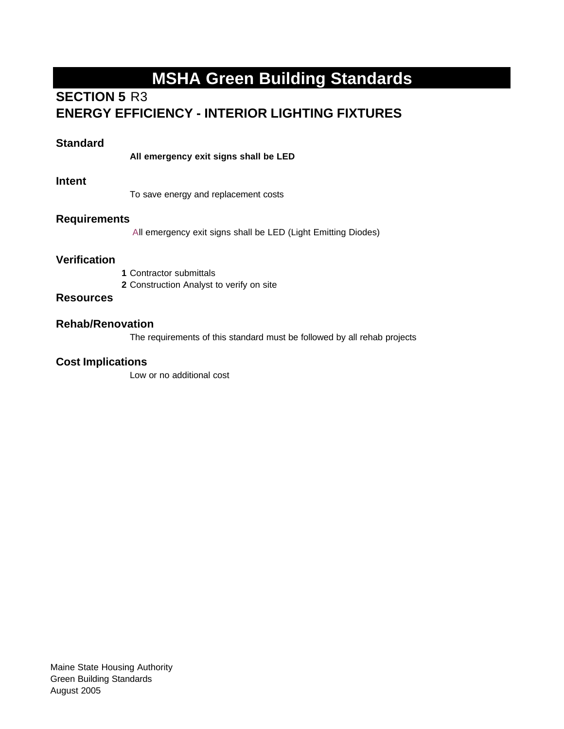## **SECTION 5 R3 ENERGY EFFICIENCY - INTERIOR LIGHTING FIXTURES**

### **Standard**

**All emergency exit signs shall be LED**

#### **Intent**

To save energy and replacement costs

#### **Requirements**

All emergency exit signs shall be LED (Light Emitting Diodes)

### **Verification**

- **1** Contractor submittals
- **2** Construction Analyst to verify on site

### **Resources**

### **Rehab/Renovation**

The requirements of this standard must be followed by all rehab projects

#### **Cost Implications**

Low or no additional cost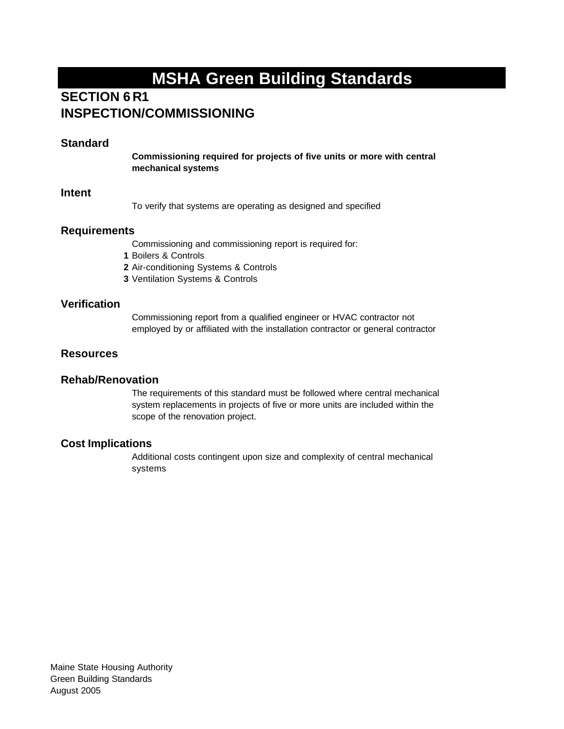## **SECTION 6 R1 INSPECTION/COMMISSIONING**

### **Standard**

**Commissioning required for projects of five units or more with central mechanical systems** 

#### **Intent**

To verify that systems are operating as designed and specified

#### **Requirements**

Commissioning and commissioning report is required for:

**1** Boilers & Controls

**2** Air-conditioning Systems & Controls

**3** Ventilation Systems & Controls

### **Verification**

Commissioning report from a qualified engineer or HVAC contractor not employed by or affiliated with the installation contractor or general contractor

#### **Resources**

#### **Rehab/Renovation**

The requirements of this standard must be followed where central mechanical system replacements in projects of five or more units are included within the scope of the renovation project.

### **Cost Implications**

Additional costs contingent upon size and complexity of central mechanical systems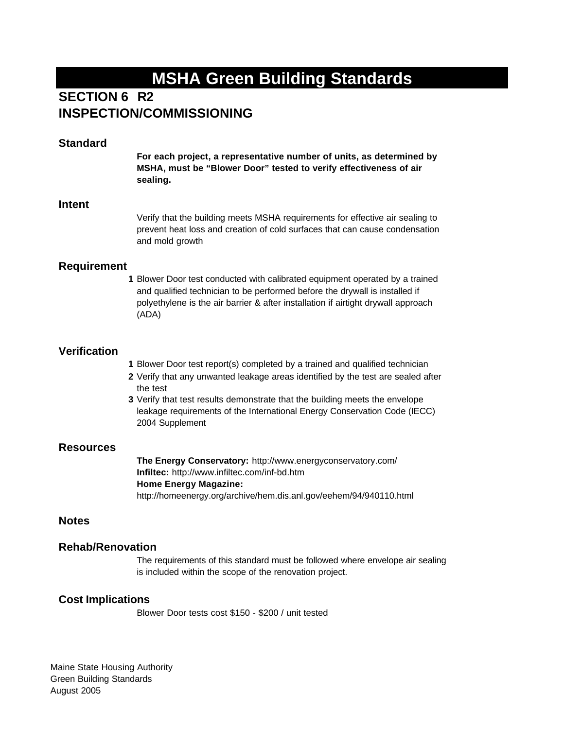## **SECTION 6 R2 INSPECTION/COMMISSIONING**

#### **Standard**

**For each project, a representative number of units, as determined by MSHA, must be "Blower Door" tested to verify effectiveness of air sealing.** 

#### **Intent**

Verify that the building meets MSHA requirements for effective air sealing to prevent heat loss and creation of cold surfaces that can cause condensation and mold growth

#### **Requirement**

**1** Blower Door test conducted with calibrated equipment operated by a trained and qualified technician to be performed before the drywall is installed if polyethylene is the air barrier & after installation if airtight drywall approach (ADA)

#### **Verification**

- **1** Blower Door test report(s) completed by a trained and qualified technician
- **2** Verify that any unwanted leakage areas identified by the test are sealed after the test
- **3** Verify that test results demonstrate that the building meets the envelope leakage requirements of the International Energy Conservation Code (IECC) 2004 Supplement

#### **Resources**

**The Energy Conservatory:** http://www.energyconservatory.com/ **Infiltec:** http://www.infiltec.com/inf-bd.htm **Home Energy Magazine:**  http://homeenergy.org/archive/hem.dis.anl.gov/eehem/94/940110.html

#### **Notes**

#### **Rehab/Renovation**

The requirements of this standard must be followed where envelope air sealing is included within the scope of the renovation project.

#### **Cost Implications**

Blower Door tests cost \$150 - \$200 / unit tested

Maine State Housing Authority Green Building Standards August 2005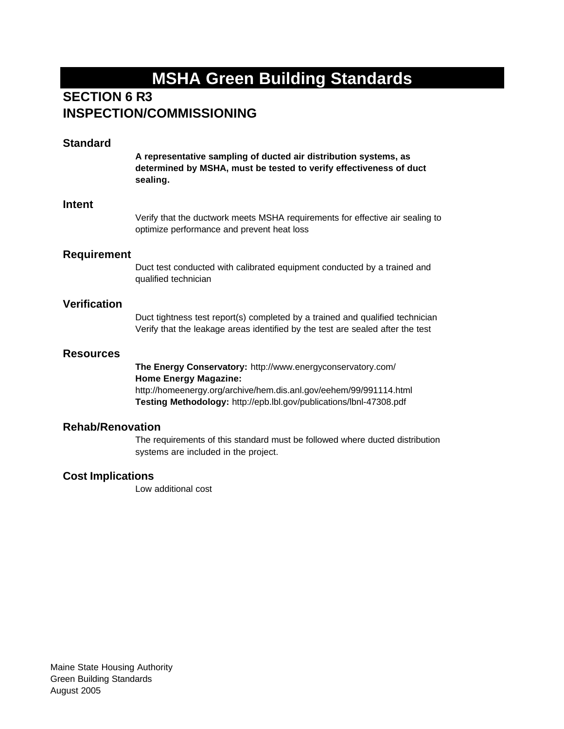## **SECTION 6 R3 INSPECTION/COMMISSIONING**

### **Standard**

**A representative sampling of ducted air distribution systems, as determined by MSHA, must be tested to verify effectiveness of duct sealing.** 

#### **Intent**

Verify that the ductwork meets MSHA requirements for effective air sealing to optimize performance and prevent heat loss

#### **Requirement**

Duct test conducted with calibrated equipment conducted by a trained and qualified technician

#### **Verification**

Duct tightness test report(s) completed by a trained and qualified technician Verify that the leakage areas identified by the test are sealed after the test

#### **Resources**

**The Energy Conservatory:** http://www.energyconservatory.com/ **Home Energy Magazine:**  http://homeenergy.org/archive/hem.dis.anl.gov/eehem/99/991114.html

**Testing Methodology:** http://epb.lbl.gov/publications/lbnl-47308.pdf

### **Rehab/Renovation**

The requirements of this standard must be followed where ducted distribution systems are included in the project.

#### **Cost Implications**

Low additional cost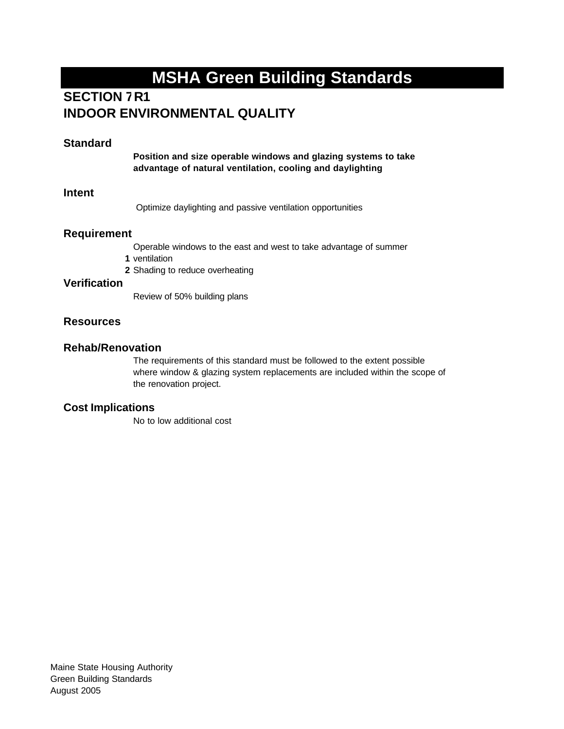## **SECTION 7R1 INDOOR ENVIRONMENTAL QUALITY**

### **Standard**

**Position and size operable windows and glazing systems to take advantage of natural ventilation, cooling and daylighting**

#### **Intent**

Optimize daylighting and passive ventilation opportunities

#### **Requirement**

Operable windows to the east and west to take advantage of summer

- **1** ventilation
- **2** Shading to reduce overheating

#### **Verification**

Review of 50% building plans

### **Resources**

#### **Rehab/Renovation**

The requirements of this standard must be followed to the extent possible where window & glazing system replacements are included within the scope of the renovation project.

### **Cost Implications**

No to low additional cost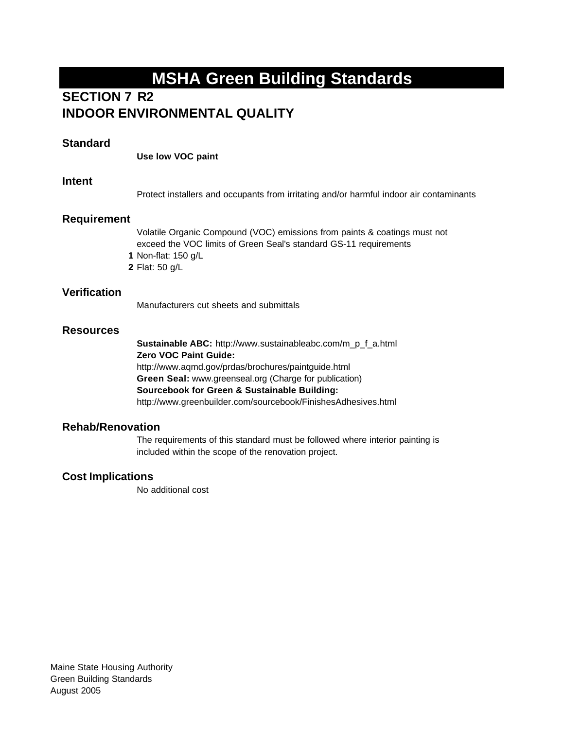## **SECTION 7 R2 INDOOR ENVIRONMENTAL QUALITY**

#### **Standard**

**Use low VOC paint**

#### **Intent**

Protect installers and occupants from irritating and/or harmful indoor air contaminants

### **Requirement**

Volatile Organic Compound (VOC) emissions from paints & coatings must not exceed the VOC limits of Green Seal's standard GS-11 requirements

- **1** Non-flat: 150 g/L
- **2** Flat: 50 g/L

### **Verification**

Manufacturers cut sheets and submittals

### **Resources**

**Sustainable ABC:** http://www.sustainableabc.com/m\_p\_f\_a.html **Zero VOC Paint Guide:**  http://www.aqmd.gov/prdas/brochures/paintguide.html **Green Seal:** www.greenseal.org (Charge for publication) **Sourcebook for Green & Sustainable Building:**  http://www.greenbuilder.com/sourcebook/FinishesAdhesives.html

### **Rehab/Renovation**

The requirements of this standard must be followed where interior painting is included within the scope of the renovation project.

### **Cost Implications**

No additional cost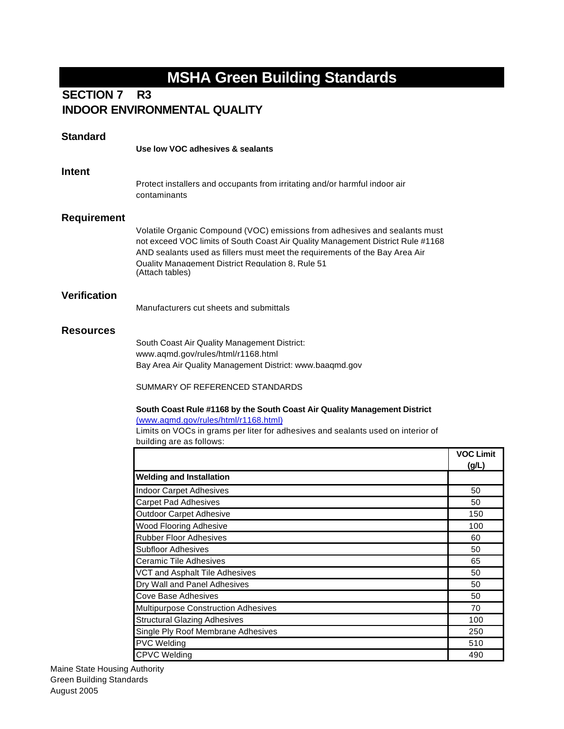#### **R3 SECTION 7 INDOOR ENVIRONMENTAL QUALITY**

| <b>Standard</b>     |                                                                                                                                                                                                                                                                                                                      |                           |
|---------------------|----------------------------------------------------------------------------------------------------------------------------------------------------------------------------------------------------------------------------------------------------------------------------------------------------------------------|---------------------------|
|                     | Use low VOC adhesives & sealants                                                                                                                                                                                                                                                                                     |                           |
| Intent              |                                                                                                                                                                                                                                                                                                                      |                           |
|                     | Protect installers and occupants from irritating and/or harmful indoor air<br>contaminants                                                                                                                                                                                                                           |                           |
| <b>Requirement</b>  |                                                                                                                                                                                                                                                                                                                      |                           |
|                     | Volatile Organic Compound (VOC) emissions from adhesives and sealants must<br>not exceed VOC limits of South Coast Air Quality Management District Rule #1168<br>AND sealants used as fillers must meet the requirements of the Bay Area Air<br>Quality Management District Regulation 8, Rule 51<br>(Attach tables) |                           |
| <b>Verification</b> | Manufacturers cut sheets and submittals                                                                                                                                                                                                                                                                              |                           |
| <b>Resources</b>    |                                                                                                                                                                                                                                                                                                                      |                           |
|                     | South Coast Air Quality Management District:<br>www.aqmd.gov/rules/html/r1168.html<br>Bay Area Air Quality Management District: www.baaqmd.gov                                                                                                                                                                       |                           |
|                     | SUMMARY OF REFERENCED STANDARDS                                                                                                                                                                                                                                                                                      |                           |
|                     | South Coast Rule #1168 by the South Coast Air Quality Management District<br>(www.aqmd.gov/rules/html/r1168.html)<br>Limits on VOCs in grams per liter for adhesives and sealants used on interior of<br>building are as follows:                                                                                    |                           |
|                     |                                                                                                                                                                                                                                                                                                                      | <b>VOC Limit</b><br>(g/L) |
|                     | <b>Welding and Installation</b>                                                                                                                                                                                                                                                                                      |                           |
|                     | Indoor Carpet Adhesives                                                                                                                                                                                                                                                                                              | 50                        |
|                     | <b>Carpet Pad Adhesives</b>                                                                                                                                                                                                                                                                                          | 50                        |
|                     | <b>Outdoor Carpet Adhesive</b>                                                                                                                                                                                                                                                                                       | 150                       |
|                     | <b>Wood Flooring Adhesive</b>                                                                                                                                                                                                                                                                                        | 100                       |
|                     | <b>Rubber Floor Adhesives</b>                                                                                                                                                                                                                                                                                        | 60                        |
|                     | <b>Subfloor Adhesives</b>                                                                                                                                                                                                                                                                                            | 50                        |
|                     | <b>Ceramic Tile Adhesives</b>                                                                                                                                                                                                                                                                                        | 65                        |
|                     | VCT and Asphalt Tile Adhesives                                                                                                                                                                                                                                                                                       | 50                        |
|                     | Dry Wall and Panel Adhesives                                                                                                                                                                                                                                                                                         | 50                        |
|                     | <b>Cove Base Adhesives</b>                                                                                                                                                                                                                                                                                           | 50                        |
|                     | Multipurpose Construction Adhesives                                                                                                                                                                                                                                                                                  | 70                        |
|                     | <b>Structural Glazing Adhesives</b>                                                                                                                                                                                                                                                                                  | 100                       |
|                     | Single Ply Roof Membrane Adhesives                                                                                                                                                                                                                                                                                   | 250                       |

PVC Welding 510 CPVC Welding 490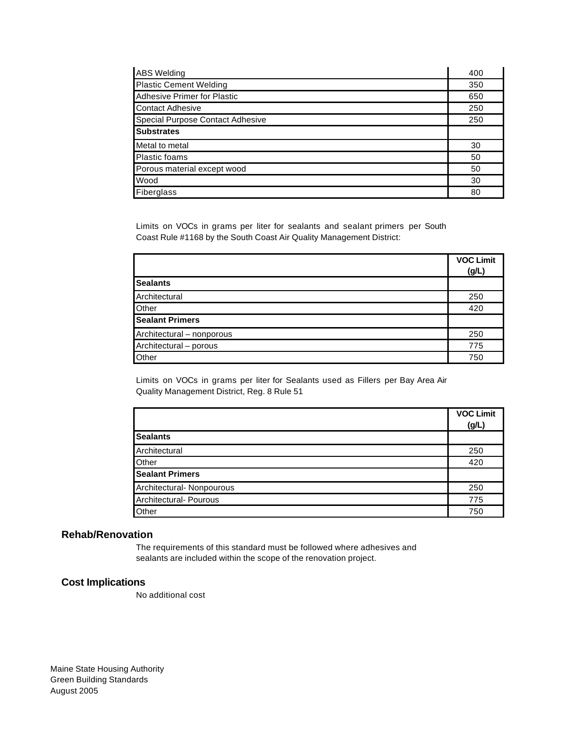| <b>ABS</b> Welding               | 400 |
|----------------------------------|-----|
| <b>Plastic Cement Welding</b>    | 350 |
| Adhesive Primer for Plastic      | 650 |
| Contact Adhesive                 | 250 |
| Special Purpose Contact Adhesive | 250 |
| <b>Substrates</b>                |     |
| Metal to metal                   | 30  |
| Plastic foams                    | 50  |
| Porous material except wood      | 50  |
| Wood                             | 30  |
| Fiberglass                       | 80  |

Limits on VOCs in grams per liter for sealants and sealant primers per South Coast Rule #1168 by the South Coast Air Quality Management District:

|                           | <b>VOC Limit</b><br>(g/L) |
|---------------------------|---------------------------|
| <b>Sealants</b>           |                           |
| Architectural             | 250                       |
| Other                     | 420                       |
| <b>Sealant Primers</b>    |                           |
| Architectural - nonporous | 250                       |
| Architectural - porous    | 775                       |
| Other                     | 750                       |

Limits on VOCs in grams per liter for Sealants used as Fillers per Bay Area Air Quality Management District, Reg. 8 Rule 51

|                           | <b>VOC Limit</b> |
|---------------------------|------------------|
|                           | (g/L)            |
| <b>Sealants</b>           |                  |
| Architectural             | 250              |
| Other                     | 420              |
| <b>Sealant Primers</b>    |                  |
| Architectural- Nonpourous | 250              |
| Architectural- Pourous    | 775              |
| Other                     | 750              |

#### **Rehab/Renovation**

The requirements of this standard must be followed where adhesives and sealants are included within the scope of the renovation project.

#### **Cost Implications**

No additional cost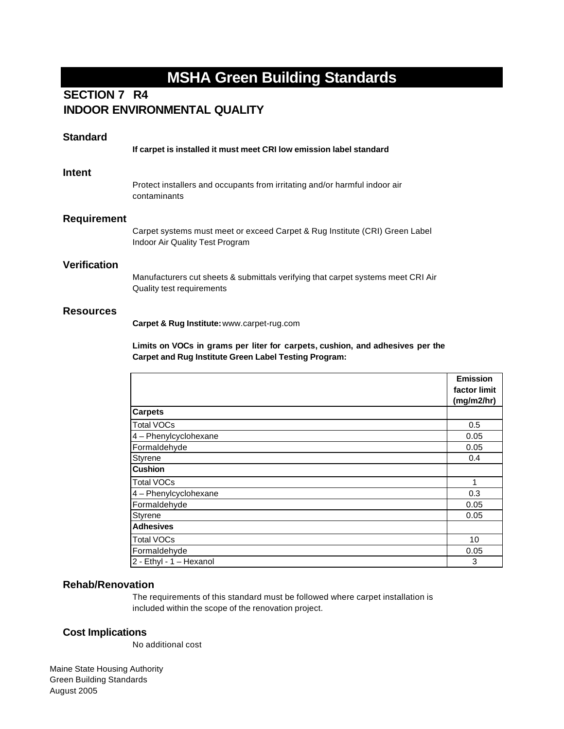## **R4 SECTION 7 INDOOR ENVIRONMENTAL QUALITY**

| <b>Standard</b> |                                                                                                                                                                                             |
|-----------------|---------------------------------------------------------------------------------------------------------------------------------------------------------------------------------------------|
|                 | If carpet is installed it must meet CRI low emission label standard                                                                                                                         |
| Intent          | Protect installers and occupants from irritating and/or harmful indoor air<br>contaminants                                                                                                  |
| Requirement     | Carpet systems must meet or exceed Carpet & Rug Institute (CRI) Green Label<br>Indoor Air Quality Test Program                                                                              |
| Verification    | Manufacturers cut sheets & submittals verifying that carpet systems meet CRI Air<br>Quality test requirements                                                                               |
| Resources       | Carpet & Rug Institute: www.carpet-rug.com<br>Limits on VOCs in grams per liter for carpets, cushion, and adhesives per the<br><b>Carpet and Rug Institute Green Label Testing Program:</b> |
|                 |                                                                                                                                                                                             |

|                         | factor limit<br>(mg/m2/hr) |
|-------------------------|----------------------------|
| <b>Carpets</b>          |                            |
| <b>Total VOCs</b>       | 0.5                        |
| 4 - Phenylcyclohexane   | 0.05                       |
| Formaldehyde            | 0.05                       |
| Styrene                 | 0.4                        |
| <b>Cushion</b>          |                            |
| <b>Total VOCs</b>       | 1                          |
| 4 - Phenylcyclohexane   | 0.3                        |
| Formaldehyde            | 0.05                       |
| Styrene                 | 0.05                       |
| <b>Adhesives</b>        |                            |
| <b>Total VOCs</b>       | 10                         |
| Formaldehyde            | 0.05                       |
| 2 - Ethyl - 1 - Hexanol | 3                          |

**Emission** 

#### **Rehab/Renovation**

The requirements of this standard must be followed where carpet installation is included within the scope of the renovation project.

#### **Cost Implications**

No additional cost

Maine State Housing Authority Green Building Standards August 2005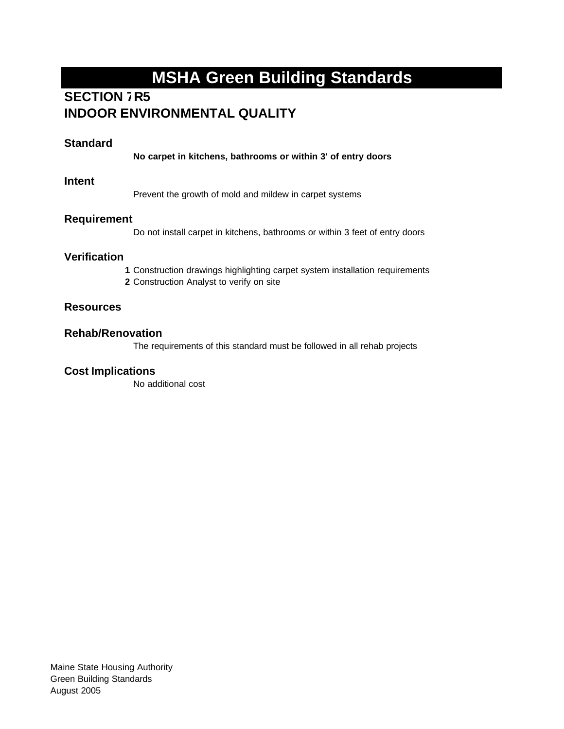## **SECTION 7R5 INDOOR ENVIRONMENTAL QUALITY**

### **Standard**

**No carpet in kitchens, bathrooms or within 3' of entry doors**

#### **Intent**

Prevent the growth of mold and mildew in carpet systems

#### **Requirement**

Do not install carpet in kitchens, bathrooms or within 3 feet of entry doors

### **Verification**

**1** Construction drawings highlighting carpet system installation requirements **2** Construction Analyst to verify on site

### **Resources**

### **Rehab/Renovation**

The requirements of this standard must be followed in all rehab projects

#### **Cost Implications**

No additional cost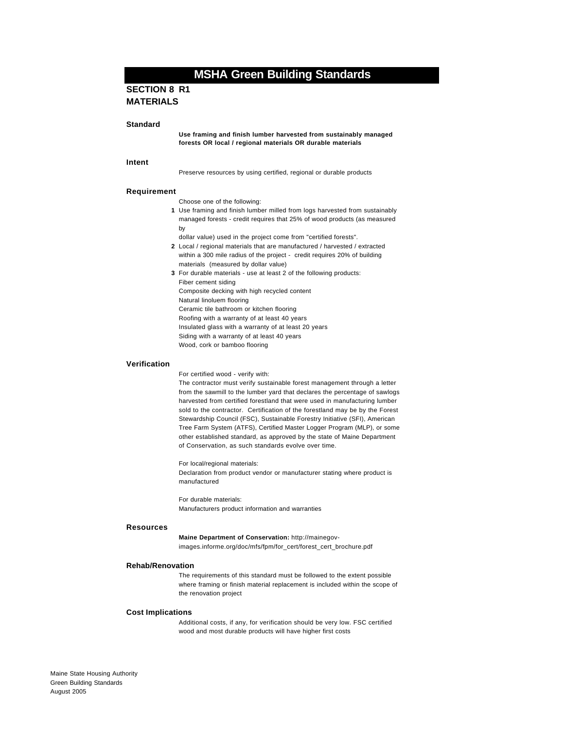#### **SECTION 8 R1 MATERIALS**

#### **Standard**

**Use framing and finish lumber harvested from sustainably managed forests OR local / regional materials OR durable materials**

#### **Intent**

Preserve resources by using certified, regional or durable products

#### **Requirement**

Choose one of the following:

- **1** Use framing and finish lumber milled from logs harvested from sustainably managed forests - credit requires that 25% of wood products (as measured by
	- dollar value) used in the project come from "certified forests".
- **2** Local / regional materials that are manufactured / harvested / extracted within a 300 mile radius of the project - credit requires 20% of building materials (measured by dollar value)
- **3** For durable materials use at least 2 of the following products: Fiber cement siding Composite decking with high recycled content Natural linoluem flooring Ceramic tile bathroom or kitchen flooring Roofing with a warranty of at least 40 years Insulated glass with a warranty of at least 20 years Siding with a warranty of at least 40 years Wood, cork or bamboo flooring

#### **Verification**

For certified wood - verify with:

The contractor must verify sustainable forest management through a letter from the sawmill to the lumber yard that declares the percentage of sawlogs harvested from certified forestland that were used in manufacturing lumber sold to the contractor. Certification of the forestland may be by the Forest Stewardship Council (FSC), Sustainable Forestry Initiative (SFI), American Tree Farm System (ATFS), Certified Master Logger Program (MLP), or some other established standard, as approved by the state of Maine Department of Conservation, as such standards evolve over time.

For local/regional materials: Declaration from product vendor or manufacturer stating where product is manufactured

For durable materials: Manufacturers product information and warranties

#### **Resources**

**Maine Department of Conservation:** http://mainegovimages.informe.org/doc/mfs/fpm/for\_cert/forest\_cert\_brochure.pdf

#### **Rehab/Renovation**

The requirements of this standard must be followed to the extent possible where framing or finish material replacement is included within the scope of the renovation project

#### **Cost Implications**

Additional costs, if any, for verification should be very low. FSC certified wood and most durable products will have higher first costs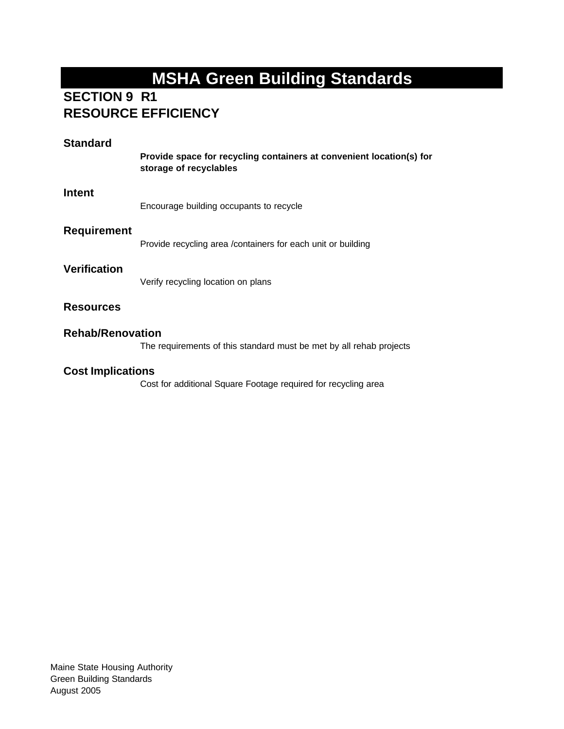## **SECTION 9 R1 RESOURCE EFFICIENCY**

| <b>Standard</b>          | Provide space for recycling containers at convenient location(s) for<br>storage of recyclables |
|--------------------------|------------------------------------------------------------------------------------------------|
| <b>Intent</b>            | Encourage building occupants to recycle                                                        |
| <b>Requirement</b>       | Provide recycling area / containers for each unit or building                                  |
| <b>Verification</b>      | Verify recycling location on plans                                                             |
| <b>Resources</b>         |                                                                                                |
| <b>Rehab/Renovation</b>  | The requirements of this standard must be met by all rehab projects                            |
| <b>Cost Implications</b> |                                                                                                |

Cost for additional Square Footage required for recycling area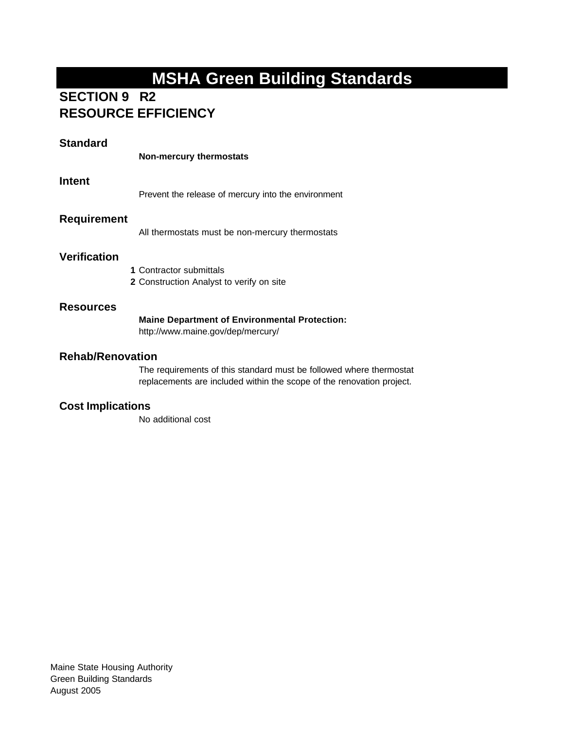## **SECTION 9 R2 RESOURCE EFFICIENCY**

## **Standard**

| <b>Non-mercury thermostats</b> |
|--------------------------------|
|--------------------------------|

### **Intent**

Prevent the release of mercury into the environment

## **Requirement**

All thermostats must be non-mercury thermostats

## **Verification**

**1** Contractor submittals **2** Construction Analyst to verify on site

#### **Resources**

#### **Maine Department of Environmental Protection:**

http://www.maine.gov/dep/mercury/

### **Rehab/Renovation**

The requirements of this standard must be followed where thermostat replacements are included within the scope of the renovation project.

### **Cost Implications**

No additional cost